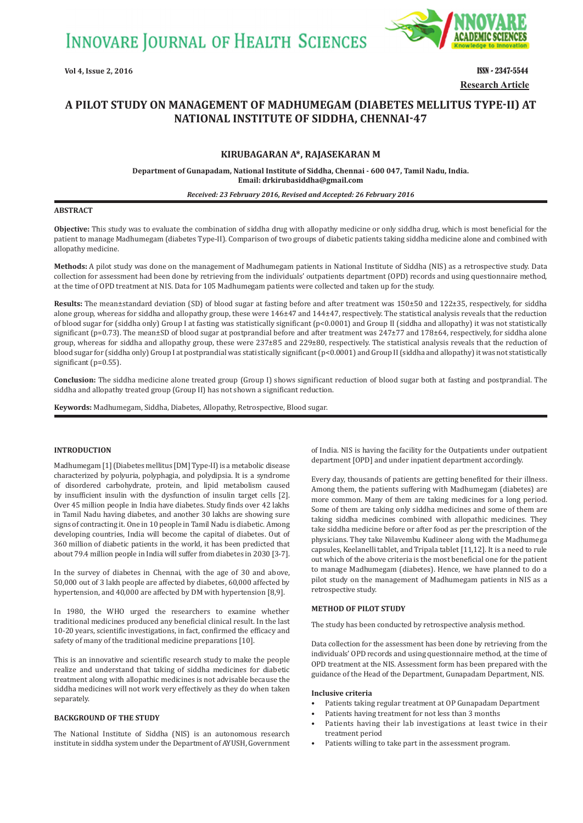**INNOVARE JOURNAL OF HEALTH SCIENCES** 



**Research Article Vol 4, Issue 2, 2016** ISSN - 2347-5544

# **A PILOT STUDY ON MANAGEMENT OF MADHUMEGAM ȍDIABETES MELLITUS TYPEǧIIȎ AT NATIONAL INSTITUTE OF SIDDHA, CHENNAI-47**

### **KIRUBAGARAN A\*, RAJASEKARAN M**

**Department of Gunapadam, National Institute of Siddha, Chennai - 600 047, Tamil Nadu, India. Email: drkirubasiddha@gmail.com**

#### *Received: 23 February 2016, Revised and Accepted: 26 February 2016*

### **ABSTRACT**

**Objective:** This study was to evaluate the combination of siddha drug with allopathy medicine or only siddha drug, which is most beneficial for the patient to manage Madhumegam (diabetes Type-II). Comparison of two groups of diabetic patients taking siddha medicine alone and combined with allopathy medicine.

**Methods:** A pilot study was done on the management of Madhumegam patients in National Institute of Siddha (NIS) as a retrospective study. Data collection for assessment had been done by retrieving from the individuals' outpatients department (OPD) records and using questionnaire method, at the time of OPD treatment at NIS. Data for 105 Madhumegam patients were collected and taken up for the study.

**Results:** The mean±standard deviation (SD) of blood sugar at fasting before and after treatment was 150±50 and 122±35, respectively, for siddha alone group, whereas for siddha and allopathy group, these were 146±47 and 144±47, respectively. The statistical analysis reveals that the reduction of blood sugar for (siddha only) Group I at fasting was statistically significant (p<0.0001) and Group II (siddha and allopathy) it was not statistically significant (p=0.73). The mean±SD of blood sugar at postprandial before and after treatment was 247±77 and 178±64, respectively, for siddha alone group, whereas for siddha and allopathy group, these were 237±85 and 229±80, respectively. The statistical analysis reveals that the reduction of blood sugar for (siddha only) Group I at postprandial was statistically significant (p<0.0001) and Group II (siddha and allopathy) it was not statistically significant (p=0.55).

**Conclusion:** The siddha medicine alone treated group (Group I) shows significant reduction of blood sugar both at fasting and postprandial. The siddha and allopathy treated group (Group II) has not shown a significant reduction.

**Keywords:** Madhumegam, Siddha, Diabetes, Allopathy, Retrospective, Blood sugar.

### **INTRODUCTION**

Madhumegam [1] (Diabetes mellitus [DM] Type-II) is a metabolic disease characterized by polyuria, polyphagia, and polydipsia. It is a syndrome of disordered carbohydrate, protein, and lipid metabolism caused by insufficient insulin with the dysfunction of insulin target cells [2]. Over 45 million people in India have diabetes. Study finds over 42 lakhs in Tamil Nadu having diabetes, and another 30 lakhs are showing sure signs of contracting it. One in 10 people in Tamil Nadu is diabetic. Among developing countries, India will become the capital of diabetes. Out of 360 million of diabetic patients in the world, it has been predicted that about 79.4 million people in India will suffer from diabetes in 2030 [3-7].

In the survey of diabetes in Chennai, with the age of 30 and above, 50,000 out of 3 lakh people are affected by diabetes, 60,000 affected by hypertension, and 40,000 are affected by DM with hypertension [8,9].

In 1980, the WHO urged the researchers to examine whether traditional medicines produced any beneficial clinical result. In the last 10-20 years, scientific investigations, in fact, confirmed the efficacy and safety of many of the traditional medicine preparations [10].

This is an innovative and scientific research study to make the people realize and understand that taking of siddha medicines for diabetic treatment along with allopathic medicines is not advisable because the siddha medicines will not work very effectively as they do when taken separately.

### **BACKGROUND OF THE STUDY**

The National Institute of Siddha (NIS) is an autonomous research institute in siddha system under the Department of AYUSH, Government of India. NIS is having the facility for the Outpatients under outpatient department [OPD] and under inpatient department accordingly.

Every day, thousands of patients are getting benefited for their illness. Among them, the patients suffering with Madhumegam (diabetes) are more common. Many of them are taking medicines for a long period. Some of them are taking only siddha medicines and some of them are taking siddha medicines combined with allopathic medicines. They take siddha medicine before or after food as per the prescription of the physicians. They take Nilavembu Kudineer along with the Madhumega capsules, Keelanelli tablet, and Tripala tablet [11,12]. It is a need to rule out which of the above criteria is the most beneficial one for the patient to manage Madhumegam (diabetes). Hence, we have planned to do a pilot study on the management of Madhumegam patients in NIS as a retrospective study.

### **METHOD OF PILOT STUDY**

The study has been conducted by retrospective analysis method.

Data collection for the assessment has been done by retrieving from the individuals' OPD records and using questionnaire method, at the time of OPD treatment at the NIS. Assessment form has been prepared with the guidance of the Head of the Department, Gunapadam Department, NIS.

#### **Inclusive criteria**

- Patients taking regular treatment at OP Gunapadam Department
- Patients having treatment for not less than 3 months
- Patients having their lab investigations at least twice in their treatment period
- Patients willing to take part in the assessment program.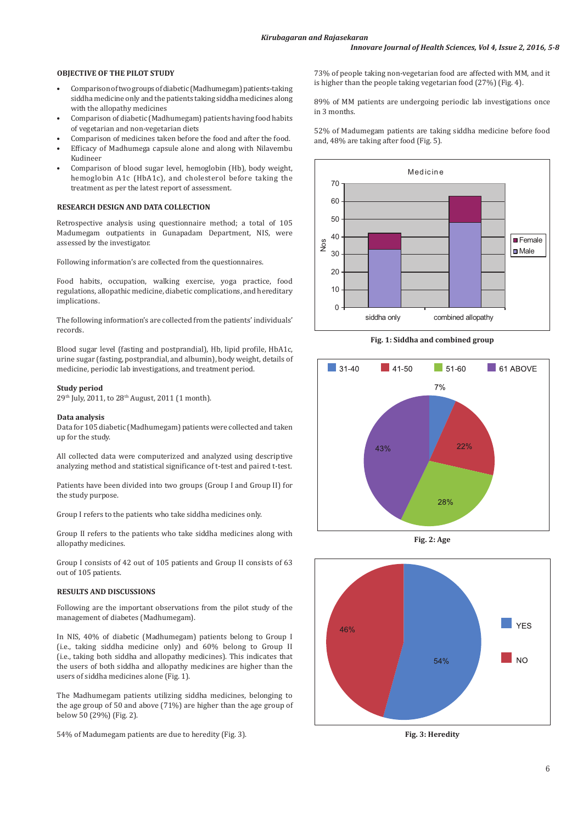### **OBJECTIVE OF THE PILOT STUDY**

- Comparison of two groups of diabetic (Madhumegam) patients-taking siddha medicine only and the patients taking siddha medicines along with the allopathy medicines
- Comparison of diabetic (Madhumegam) patients having food habits of vegetarian and non-vegetarian diets
- Comparison of medicines taken before the food and after the food.
- Efficacy of Madhumega capsule alone and along with Nilavembu Kudineer
- Comparison of blood sugar level, hemoglobin (Hb), body weight, hemoglobin A1c (HbA1c), and cholesterol before taking the treatment as per the latest report of assessment.

### **RESEARCH DESIGN AND DATA COLLECTION**

Retrospective analysis using questionnaire method; a total of 105 Madumegam outpatients in Gunapadam Department, NIS, were assessed by the investigator.

Following information's are collected from the questionnaires.

Food habits, occupation, walking exercise, yoga practice, food regulations, allopathic medicine, diabetic complications, and hereditary implications.

The following information's are collected from the patients' individuals' records.

Blood sugar level (fasting and postprandial), Hb, lipid profile, HbA1c, urine sugar (fasting, postprandial, and albumin), body weight, details of medicine, periodic lab investigations, and treatment period.

#### **Study period**

29th July, 2011, to 28th August, 2011 (1 month).

#### **Data analysis**

Data for 105 diabetic (Madhumegam) patients were collected and taken up for the study.

All collected data were computerized and analyzed using descriptive analyzing method and statistical significance of t-test and paired t-test.

Patients have been divided into two groups (Group I and Group II) for the study purpose.

Group I refers to the patients who take siddha medicines only.

Group II refers to the patients who take siddha medicines along with allopathy medicines.

Group I consists of 42 out of 105 patients and Group II consists of 63 out of 105 patients.

### **RESULTS AND DISCUSSIONS**

Following are the important observations from the pilot study of the management of diabetes (Madhumegam).

In NIS, 40% of diabetic (Madhumegam) patients belong to Group I (i.e., taking siddha medicine only) and 60% belong to Group II (i.e., taking both siddha and allopathy medicines). This indicates that the users of both siddha and allopathy medicines are higher than the users of siddha medicines alone (Fig. 1).

The Madhumegam patients utilizing siddha medicines, belonging to the age group of 50 and above (71%) are higher than the age group of below 50 (29%) (Fig. 2).

54% of Madumegam patients are due to heredity (Fig. 3).

73% of people taking non-vegetarian food are affected with MM, and it is higher than the people taking vegetarian food (27%) (Fig. 4).

89% of MM patients are undergoing periodic lab investigations once in 3 months.

52% of Madumegam patients are taking siddha medicine before food and, 48% are taking after food (Fig. 5).



**Fig. 1: Siddha and combined group**



**Fig. 2: Age**



**Fig. 3: Heredity**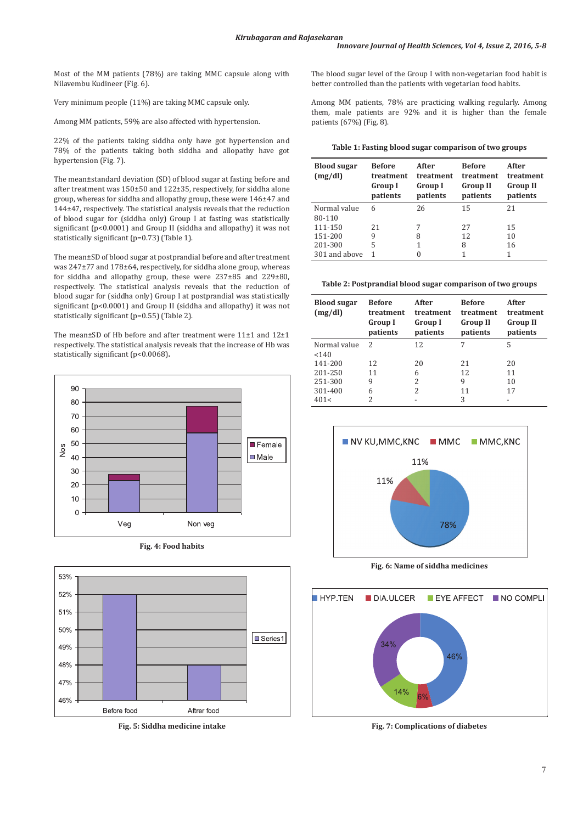Most of the MM patients (78%) are taking MMC capsule along with Nilavembu Kudineer (Fig. 6).

Very minimum people (11%) are taking MMC capsule only.

Among MM patients, 59% are also affected with hypertension.

22% of the patients taking siddha only have got hypertension and 78% of the patients taking both siddha and allopathy have got hypertension (Fig. 7).

The mean±standard deviation (SD) of blood sugar at fasting before and after treatment was 150±50 and 122±35, respectively, for siddha alone group, whereas for siddha and allopathy group, these were 146±47 and 144±47, respectively. The statistical analysis reveals that the reduction of blood sugar for (siddha only) Group I at fasting was statistically significant (p<0.0001) and Group II (siddha and allopathy) it was not statistically significant (p=0.73) (Table 1).

The mean±SD of blood sugar at postprandial before and after treatment was 247±77 and 178±64, respectively, for siddha alone group, whereas for siddha and allopathy group, these were 237±85 and 229±80, respectively. The statistical analysis reveals that the reduction of blood sugar for (siddha only) Group I at postprandial was statistically significant (p<0.0001) and Group II (siddha and allopathy) it was not statistically significant (p=0.55) (Table 2).

The mean±SD of Hb before and after treatment were 11±1 and 12±1 respectively. The statistical analysis reveals that the increase of Hb was statistically significant (p<0.0068)**.**







**Fig. 5: Siddha medicine intake**

The blood sugar level of the Group I with non-vegetarian food habit is better controlled than the patients with vegetarian food habits.

Among MM patients, 78% are practicing walking regularly. Among them, male patients are 92% and it is higher than the female patients (67%) (Fig. 8).

| Table 1: Fasting blood sugar comparison of two groups |  |
|-------------------------------------------------------|--|
|                                                       |  |

| <b>Blood sugar</b><br>(mg/dl) | <b>Before</b><br>treatment<br><b>Group I</b><br>patients | After<br>treatment<br><b>Group I</b><br>patients | <b>Refore</b><br>treatment<br><b>Group II</b><br>patients | After<br>treatment<br><b>Group II</b><br>patients |
|-------------------------------|----------------------------------------------------------|--------------------------------------------------|-----------------------------------------------------------|---------------------------------------------------|
| Normal value                  | 6                                                        | 26                                               | 15                                                        | 21                                                |
| 80-110                        |                                                          |                                                  |                                                           |                                                   |
| 111-150                       | 21                                                       | 7                                                | 27                                                        | 15                                                |
| 151-200                       | 9                                                        | 8                                                | 12                                                        | 10                                                |
| 201-300                       | 5                                                        | 1                                                | 8                                                         | 16                                                |
| 301 and above                 |                                                          | 0                                                | 1                                                         | 1                                                 |

**Table 2: Postprandial blood sugar comparison of two groups**

| <b>Blood sugar</b><br>(mg/dl) | <b>Before</b><br>treatment<br>Group I<br>patients | After<br>treatment<br><b>Group I</b><br>patients | <b>Before</b><br>treatment<br><b>Group II</b><br>patients | After<br>treatment<br><b>Group II</b><br>patients |
|-------------------------------|---------------------------------------------------|--------------------------------------------------|-----------------------------------------------------------|---------------------------------------------------|
| Normal value                  | 2                                                 | 12                                               | 7                                                         | 5                                                 |
| < 140                         |                                                   |                                                  |                                                           |                                                   |
| 141-200                       | 12                                                | 20                                               | 21                                                        | 20                                                |
| 201-250                       | 11                                                | 6                                                | 12                                                        | 11                                                |
| 251-300                       | 9                                                 | 2                                                | 9                                                         | 10                                                |
| 301-400                       | 6                                                 | 2                                                | 11                                                        | 17                                                |
| 401<                          | 2                                                 |                                                  | 3                                                         |                                                   |



**Fig. 6: Name of siddha medicines**



**Fig. 7: Complications of diabetes**